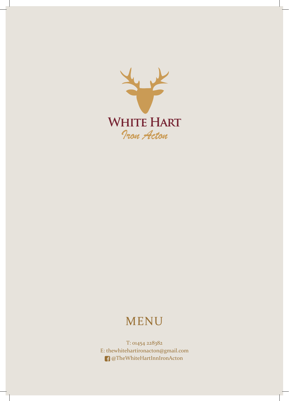

# MENU

T: 01454 228382 E: thewhitehartironacton@gmail.com @TheWhiteHartInnIronActon